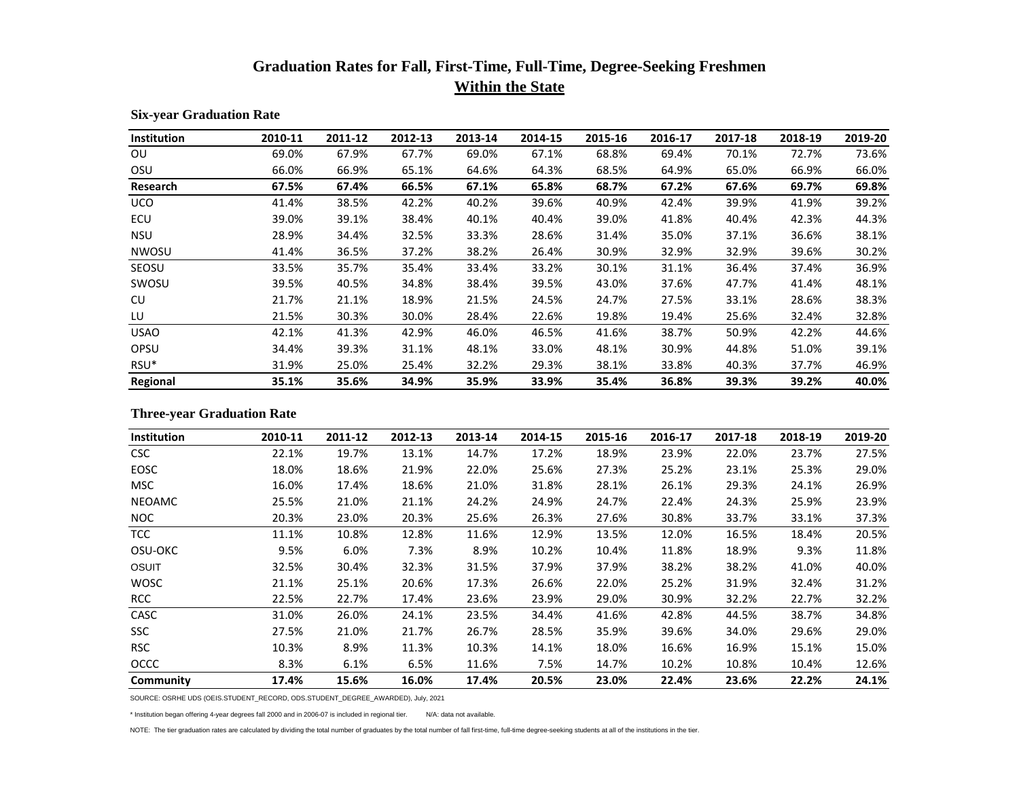## **Graduation Rates for Fall, First-Time, Full-Time, Degree-Seeking Freshmen Within the State**

| Institution      | 2010-11 | 2011-12 | 2012-13 | 2013-14 | 2014-15 | 2015-16 | 2016-17 | 2017-18 | 2018-19 | 2019-20 |
|------------------|---------|---------|---------|---------|---------|---------|---------|---------|---------|---------|
| 0U               | 69.0%   | 67.9%   | 67.7%   | 69.0%   | 67.1%   | 68.8%   | 69.4%   | 70.1%   | 72.7%   | 73.6%   |
| OSU              | 66.0%   | 66.9%   | 65.1%   | 64.6%   | 64.3%   | 68.5%   | 64.9%   | 65.0%   | 66.9%   | 66.0%   |
| Research         | 67.5%   | 67.4%   | 66.5%   | 67.1%   | 65.8%   | 68.7%   | 67.2%   | 67.6%   | 69.7%   | 69.8%   |
| <b>UCO</b>       | 41.4%   | 38.5%   | 42.2%   | 40.2%   | 39.6%   | 40.9%   | 42.4%   | 39.9%   | 41.9%   | 39.2%   |
| ECU              | 39.0%   | 39.1%   | 38.4%   | 40.1%   | 40.4%   | 39.0%   | 41.8%   | 40.4%   | 42.3%   | 44.3%   |
| <b>NSU</b>       | 28.9%   | 34.4%   | 32.5%   | 33.3%   | 28.6%   | 31.4%   | 35.0%   | 37.1%   | 36.6%   | 38.1%   |
| <b>NWOSU</b>     | 41.4%   | 36.5%   | 37.2%   | 38.2%   | 26.4%   | 30.9%   | 32.9%   | 32.9%   | 39.6%   | 30.2%   |
| SEOSU            | 33.5%   | 35.7%   | 35.4%   | 33.4%   | 33.2%   | 30.1%   | 31.1%   | 36.4%   | 37.4%   | 36.9%   |
| SWOSU            | 39.5%   | 40.5%   | 34.8%   | 38.4%   | 39.5%   | 43.0%   | 37.6%   | 47.7%   | 41.4%   | 48.1%   |
| CU.              | 21.7%   | 21.1%   | 18.9%   | 21.5%   | 24.5%   | 24.7%   | 27.5%   | 33.1%   | 28.6%   | 38.3%   |
| LU               | 21.5%   | 30.3%   | 30.0%   | 28.4%   | 22.6%   | 19.8%   | 19.4%   | 25.6%   | 32.4%   | 32.8%   |
| <b>USAO</b>      | 42.1%   | 41.3%   | 42.9%   | 46.0%   | 46.5%   | 41.6%   | 38.7%   | 50.9%   | 42.2%   | 44.6%   |
| OPSU             | 34.4%   | 39.3%   | 31.1%   | 48.1%   | 33.0%   | 48.1%   | 30.9%   | 44.8%   | 51.0%   | 39.1%   |
| RSU <sup>*</sup> | 31.9%   | 25.0%   | 25.4%   | 32.2%   | 29.3%   | 38.1%   | 33.8%   | 40.3%   | 37.7%   | 46.9%   |
| Regional         | 35.1%   | 35.6%   | 34.9%   | 35.9%   | 33.9%   | 35.4%   | 36.8%   | 39.3%   | 39.2%   | 40.0%   |

## **Six-year Graduation Rate**

## **Three-year Graduation Rate**

| Institution   | 2010-11 | 2011-12 | 2012-13 | 2013-14 | 2014-15 | 2015-16 | 2016-17 | 2017-18 | 2018-19 | 2019-20 |
|---------------|---------|---------|---------|---------|---------|---------|---------|---------|---------|---------|
| <b>CSC</b>    | 22.1%   | 19.7%   | 13.1%   | 14.7%   | 17.2%   | 18.9%   | 23.9%   | 22.0%   | 23.7%   | 27.5%   |
| <b>EOSC</b>   | 18.0%   | 18.6%   | 21.9%   | 22.0%   | 25.6%   | 27.3%   | 25.2%   | 23.1%   | 25.3%   | 29.0%   |
| <b>MSC</b>    | 16.0%   | 17.4%   | 18.6%   | 21.0%   | 31.8%   | 28.1%   | 26.1%   | 29.3%   | 24.1%   | 26.9%   |
| <b>NEOAMC</b> | 25.5%   | 21.0%   | 21.1%   | 24.2%   | 24.9%   | 24.7%   | 22.4%   | 24.3%   | 25.9%   | 23.9%   |
| NOC           | 20.3%   | 23.0%   | 20.3%   | 25.6%   | 26.3%   | 27.6%   | 30.8%   | 33.7%   | 33.1%   | 37.3%   |
| <b>TCC</b>    | 11.1%   | 10.8%   | 12.8%   | 11.6%   | 12.9%   | 13.5%   | 12.0%   | 16.5%   | 18.4%   | 20.5%   |
| OSU-OKC       | 9.5%    | 6.0%    | 7.3%    | 8.9%    | 10.2%   | 10.4%   | 11.8%   | 18.9%   | 9.3%    | 11.8%   |
| OSUIT         | 32.5%   | 30.4%   | 32.3%   | 31.5%   | 37.9%   | 37.9%   | 38.2%   | 38.2%   | 41.0%   | 40.0%   |
| <b>WOSC</b>   | 21.1%   | 25.1%   | 20.6%   | 17.3%   | 26.6%   | 22.0%   | 25.2%   | 31.9%   | 32.4%   | 31.2%   |
| <b>RCC</b>    | 22.5%   | 22.7%   | 17.4%   | 23.6%   | 23.9%   | 29.0%   | 30.9%   | 32.2%   | 22.7%   | 32.2%   |
| CASC          | 31.0%   | 26.0%   | 24.1%   | 23.5%   | 34.4%   | 41.6%   | 42.8%   | 44.5%   | 38.7%   | 34.8%   |
| <b>SSC</b>    | 27.5%   | 21.0%   | 21.7%   | 26.7%   | 28.5%   | 35.9%   | 39.6%   | 34.0%   | 29.6%   | 29.0%   |
| <b>RSC</b>    | 10.3%   | 8.9%    | 11.3%   | 10.3%   | 14.1%   | 18.0%   | 16.6%   | 16.9%   | 15.1%   | 15.0%   |
| <b>OCCC</b>   | 8.3%    | 6.1%    | 6.5%    | 11.6%   | 7.5%    | 14.7%   | 10.2%   | 10.8%   | 10.4%   | 12.6%   |
| Community     | 17.4%   | 15.6%   | 16.0%   | 17.4%   | 20.5%   | 23.0%   | 22.4%   | 23.6%   | 22.2%   | 24.1%   |

SOURCE: OSRHE UDS (OEIS.STUDENT\_RECORD, ODS.STUDENT\_DEGREE\_AWARDED), July, 2021

\* Institution began offering 4-year degrees fall 2000 and in 2006-07 is included in regional tier. N/A: data not available.

NOTE: The tier graduation rates are calculated by dividing the total number of graduates by the total number of fall first-time, full-time degree-seeking students at all of the institutions in the tier.